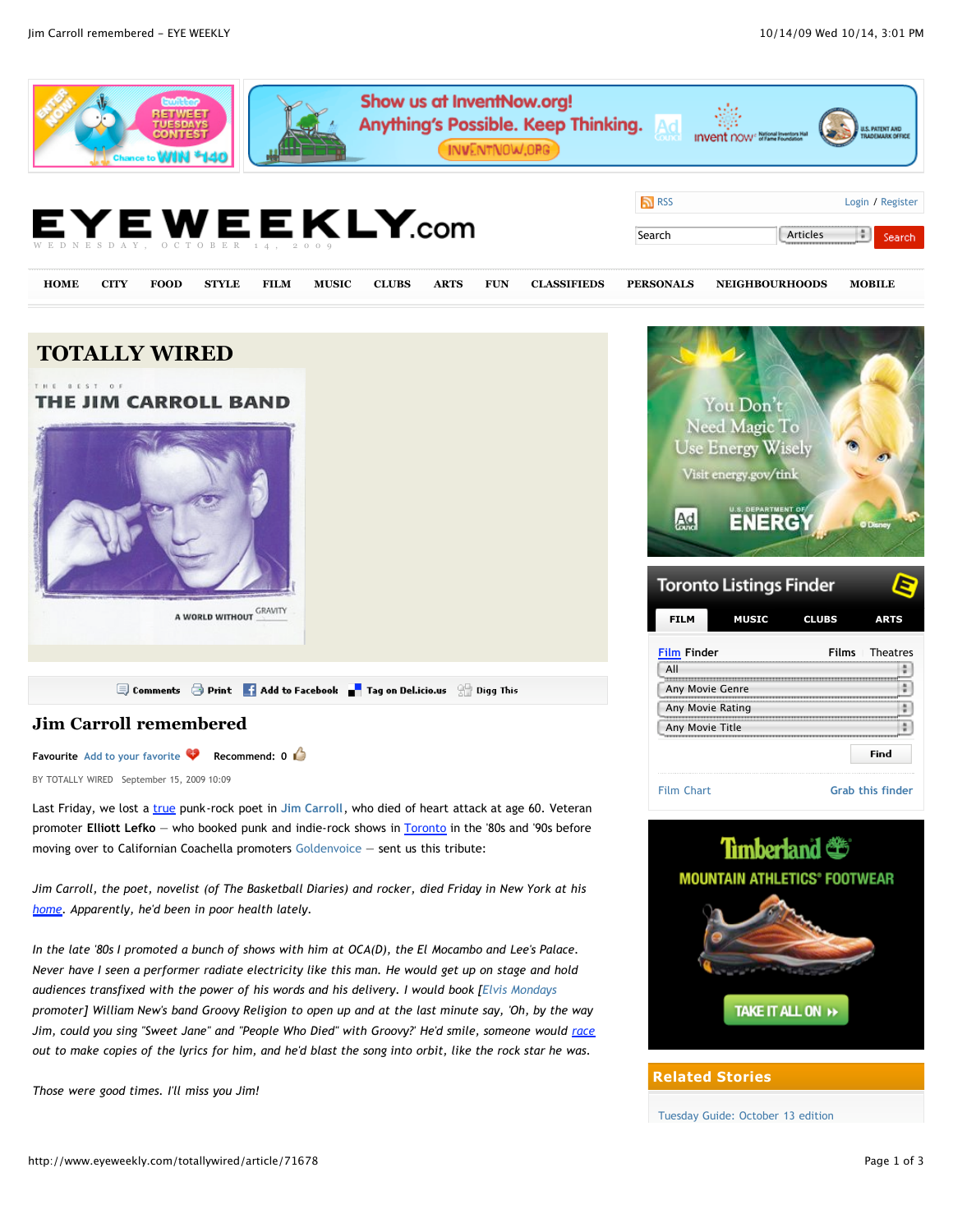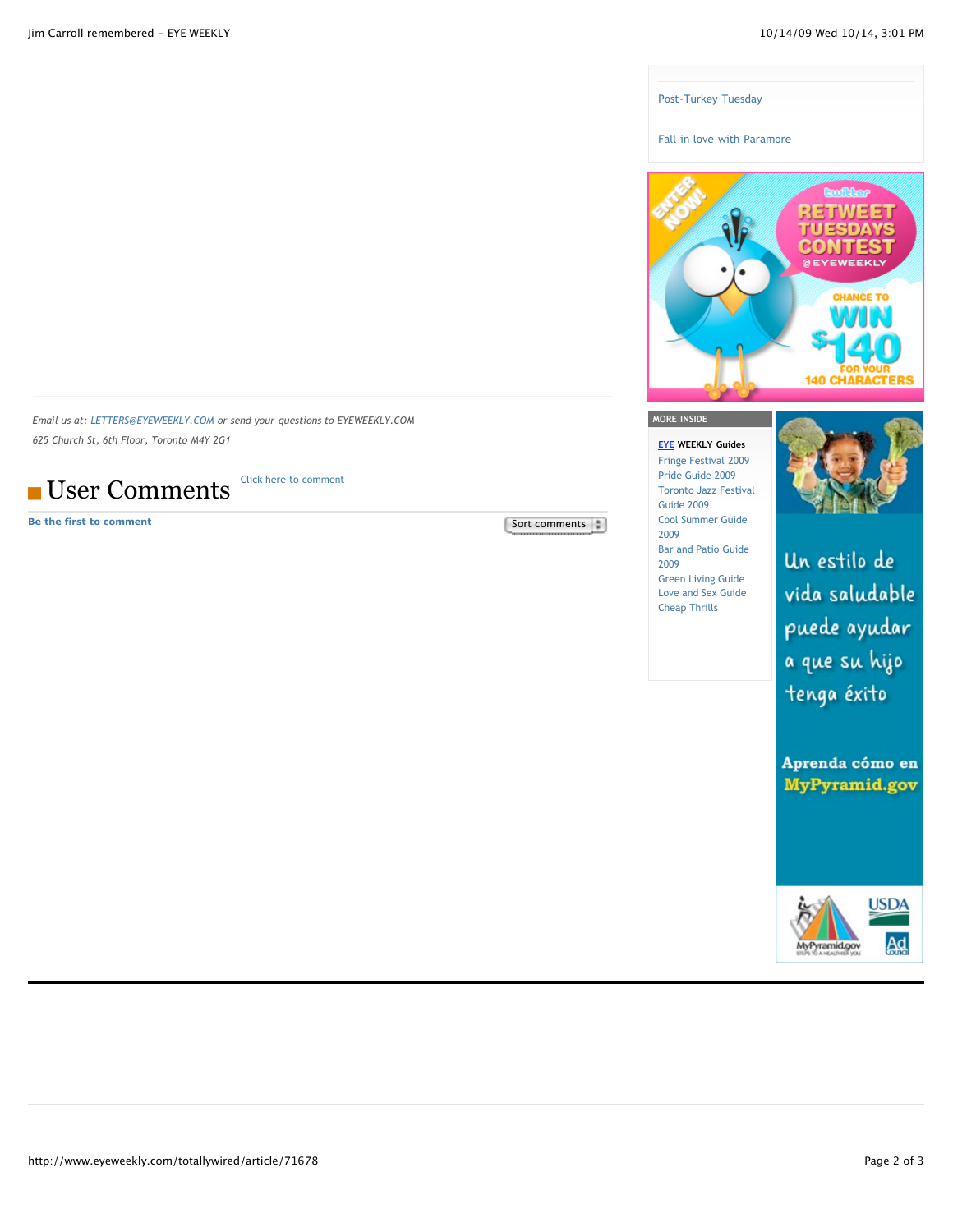

*Email us at: [LETTERS@EYEWEEKLY.COM](mailto:letters@eyeweekly.com) or send your questions to EYEWEEKLY.COM 625 Church St, 6th Floor, Toronto M4Y 2G1* 

**User Comments** [Click here to comment](http://www.eyeweekly.com/webapp/login?ReturnUrl=/control-update?assetId=71678)